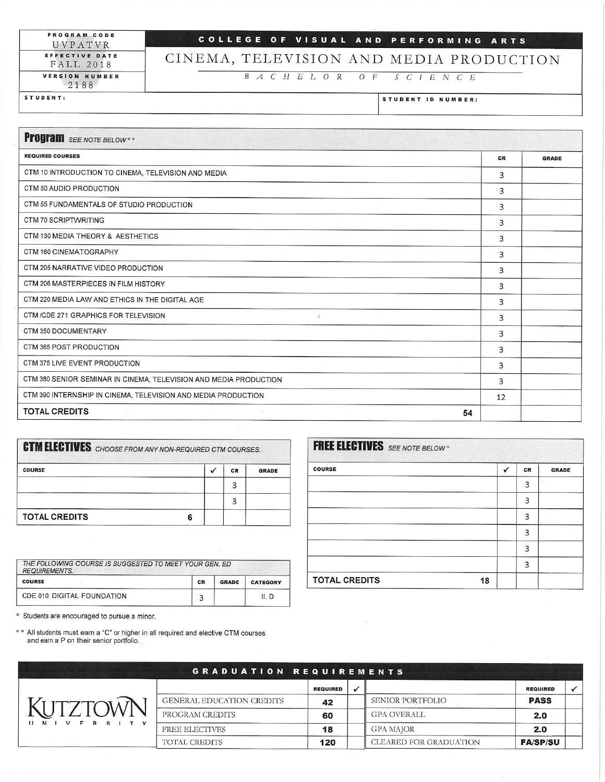PROGRAM CODE UVPATVR EFFECTIVE DATE **FALL 2018** VERSION NUMBER

2188

## COLLEGE OF VISUAL AND PERFORMING ARTS

## CINEMA, TELEVISION AND MEDIA PRODUCTION

B A C H E L O R O F S C I E N C E

STUDENT:

STUDENT ID NUMBER:

| <b>Program</b> SEE NOTE BELOW <sup>®</sup>                        |    |              |
|-------------------------------------------------------------------|----|--------------|
| <b>REQUIRED COURSES</b>                                           | CR | <b>GRADE</b> |
| CTM 10 INTRODUCTION TO CINEMA, TELEVISION AND MEDIA               | 3  |              |
| CTM 50 AUDIO PRODUCTION                                           | 3  |              |
| CTM 55 FUNDAMENTALS OF STUDIO PRODUCTION                          | 3  |              |
| <b>CTM 70 SCRIPTWRITING</b>                                       | 3  |              |
| CTM 130 MEDIA THEORY & AESTHETICS                                 | 3  |              |
| CTM 160 CINEMATOGRAPHY                                            | 3  |              |
| CTM 205 NARRATIVE VIDEO PRODUCTION                                | 3  |              |
| CTM 206 MASTERPIECES IN FILM HISTORY                              | 3  |              |
| CTM 220 MEDIA LAW AND ETHICS IN THE DIGITAL AGE                   | 3  |              |
| CTM /CDE 271 GRAPHICS FOR TELEVISION<br>$\gamma$                  | 3  |              |
| CTM 350 DOCUMENTARY                                               | 3  |              |
| CTM 365 POST PRODUCTION                                           | 3  |              |
| CTM 375 LIVE EVENT PRODUCTION                                     | 3  |              |
| CTM 380 SENIOR SEMINAR IN CINEMA, TELEVISION AND MEDIA PRODUCTION | 3  |              |
| CTM 390 INTERNSHIP IN CINEMA, TELEVISION AND MEDIA PRODUCTION     | 12 |              |
| <b>TOTAL CREDITS</b><br>54                                        |    |              |

| <b>CTM ELECTIVES</b> CHOOSE FROM ANY NON-REQUIRED CTM COURSES. |   |           |              |  |  |
|----------------------------------------------------------------|---|-----------|--------------|--|--|
| <b>COURSE</b>                                                  |   | <b>CR</b> | <b>GRADE</b> |  |  |
|                                                                |   | 3         |              |  |  |
|                                                                |   | 3         |              |  |  |
| <b>TOTAL CREDITS</b>                                           | 6 |           |              |  |  |

| THE FOLLOWING COURSE IS SUGGESTED TO MEET YOUR GEN. ED.<br><b>REQUIREMENTS.</b> |    |              |                 |  |  |
|---------------------------------------------------------------------------------|----|--------------|-----------------|--|--|
| <b>COURSE</b>                                                                   | CR | <b>GRADE</b> | <b>CATEGORY</b> |  |  |
| CDE 010: DIGITAL FOUNDATION                                                     |    |              | II. D           |  |  |

° Students are encouraged to pursue a minor.

° ° All students must earn a "C" or higher in all required and elective CTM courses and earn a P on their senior portfolio.

|                             | GRADUATION REQUIREMENTS   |                 |                         |                 |  |
|-----------------------------|---------------------------|-----------------|-------------------------|-----------------|--|
|                             |                           | <b>REQUIRED</b> |                         | <b>REQUIRED</b> |  |
|                             | GENERAL EDUCATION CREDITS | 42              | <b>SENIOR PORTFOLIO</b> | <b>PASS</b>     |  |
|                             | PROGRAM CREDITS           | 60              | <b>GPA OVERALL</b>      | 2.0             |  |
| V F R S I T<br>$\mathbf{v}$ | <b>FREE ELECTIVES</b>     | 18              | <b>GPA MAJOR</b>        | 2.0             |  |
|                             | TOTAL CREDITS             | 120             | CLEARED FOR GRADUATION  | <b>FA/SP/SU</b> |  |

| <b>FREE ELECTIVES</b> SEE NOTE BELOW <sup>®</sup> |   |    |              |  |
|---------------------------------------------------|---|----|--------------|--|
| <b>COURSE</b>                                     | ✓ | CR | <b>GRADE</b> |  |
|                                                   |   | 3  |              |  |
|                                                   |   | 3  |              |  |
|                                                   |   | 3  |              |  |
|                                                   |   | 3  |              |  |
|                                                   |   | 3  |              |  |
|                                                   |   | 3  |              |  |
| <b>TOTAL CREDITS</b><br>18                        |   |    |              |  |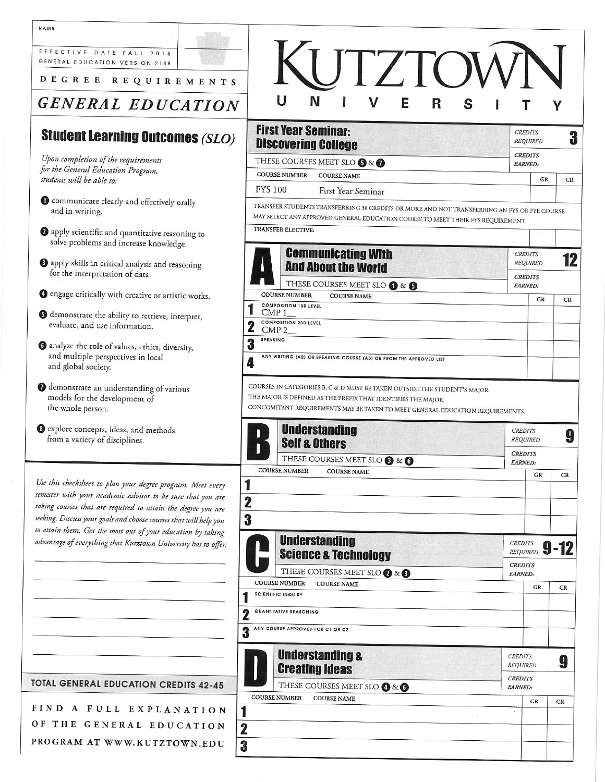| EFFECTIVE DATE FALL 2018<br>GENERAL EDUCATION VERSION 2188<br>DEGREE REQUIREMENTS<br><b>GENERAL EDUCATION</b>                                                                                                                                                                                                                    | <b>IJTZTOV</b><br>N<br>E<br>R                                                                                                                                                                                               |                                               |    |
|----------------------------------------------------------------------------------------------------------------------------------------------------------------------------------------------------------------------------------------------------------------------------------------------------------------------------------|-----------------------------------------------------------------------------------------------------------------------------------------------------------------------------------------------------------------------------|-----------------------------------------------|----|
| <b>Student Learning Outcomes (SLO)</b>                                                                                                                                                                                                                                                                                           | <b>First Year Seminar:</b><br><b>Discovering College</b>                                                                                                                                                                    | <b>CREDITS</b><br><b>REQUIRED</b>             | 3  |
| Upon completion of the requirements<br>for the General Education Program,<br>students will be able to:                                                                                                                                                                                                                           | THESE COURSES MEET SLO <sup>8</sup> & <sup>0</sup><br><b>COURSE NUMBER</b><br><b>COURSE NAME</b>                                                                                                                            | <b>CREDITS</b><br><b>EARNED:</b><br>GR        | CR |
| Communicate clearly and effectively orally<br>and in writing.                                                                                                                                                                                                                                                                    | <b>FYS 100</b><br>First Year Seminar<br>TRANSFER STUDENTS TRANSFERRING 30 CREDITS OR MORE AND NOT TRANSFERRING AN FYS OR FYE COURSE<br>MAY SELECT ANY APPROVED GENERAL EDUCATION COURSE TO MEET THEIR FYS REQUIREMENT.      |                                               |    |
| 2 apply scientific and quantitative reasoning to<br>solve problems and increase knowledge.                                                                                                                                                                                                                                       | TRANSFER ELECTIVE:                                                                                                                                                                                                          |                                               |    |
| <b>O</b> apply skills in critical analysis and reasoning<br>for the interpretation of data.                                                                                                                                                                                                                                      | <b>Communicating With</b><br><b>And About the World</b>                                                                                                                                                                     | <b>CREDITS</b><br><b>REQUIRED</b>             | 12 |
| <b>O</b> engage critically with creative or artistic works.                                                                                                                                                                                                                                                                      | THESE COURSES MEET SLO 1 & 6<br><b>COURSE NUMBER</b><br><b>COURSE NAME</b>                                                                                                                                                  | <b>CREDITS</b><br><b>EARNED:</b>              |    |
| <b>O</b> demonstrate the ability to retrieve, interpret,<br>evaluate, and use information.                                                                                                                                                                                                                                       | <b>COMPOSITION 100 LEVEL</b><br>$\text{CMP } 1$<br><b>COMPOSITION 200 LEVEL</b><br>$\mathbf 2$<br>$CMP 2$ <sub><math>-</math></sub>                                                                                         | GR                                            | CR |
| <b>6</b> analyze the role of values, ethics, diversity,<br>and multiple perspectives in local                                                                                                                                                                                                                                    | <b>SPEAKING</b><br>3<br>ANY WRITING (A2) OR SPEAKING COURSE (A3) OR FROM THE APPROVED LIST<br>4                                                                                                                             |                                               |    |
| and global society.                                                                                                                                                                                                                                                                                                              |                                                                                                                                                                                                                             |                                               |    |
| <sup>0</sup> demonstrate an understanding of various<br>models for the development of<br>the whole person.                                                                                                                                                                                                                       | COURSES IN CATEGORIES B, C & D MUST BE TAKEN OUTSIDE THE STUDENT'S MAJOR.<br>THE MAJOR IS DEFINED AS THE PREFIX THAT IDENTIFIES THE MAJOR.<br>CONCOMITANT REQUIREMENTS MAY BE TAKEN TO MEET GENERAL EDUCATION REQUIREMENTS. |                                               |    |
| <sup>6</sup> explore concepts, ideas, and methods<br>from a variety of disciplines.                                                                                                                                                                                                                                              | <b>Understanding</b><br><b>Self &amp; Others</b>                                                                                                                                                                            | <b>CREDITS</b><br><b>REQUIRED</b>             | 9  |
|                                                                                                                                                                                                                                                                                                                                  | THESE COURSES MEET SLO <sup>8</sup> & <sup>0</sup>                                                                                                                                                                          | <b>CREDITS</b><br><b>EARNED:</b>              |    |
| Use this checksheet to plan your degree program. Meet every<br>semester with your academic advisor to be sure that you are<br>taking courses that are required to attain the degree you are<br>seeking. Discuss your goals and choose courses that will help you<br>to attain them. Get the most out of your education by taking | <b>COURSE NUMBER</b><br><b>COURSE NAME</b><br>$\mathbf 2$<br>3                                                                                                                                                              | GR                                            | CR |
| advantage of everything that Kutztown University has to offer.                                                                                                                                                                                                                                                                   | <b>Understanding</b><br><b>Science &amp; Technology</b>                                                                                                                                                                     | <b>CREDITS</b><br>$9 - 12$<br><b>REQUIRED</b> |    |
|                                                                                                                                                                                                                                                                                                                                  | THESE COURSES MEET SLO 2 & 3                                                                                                                                                                                                | <b>CREDITS</b><br><b>EARNED:</b>              |    |
|                                                                                                                                                                                                                                                                                                                                  | <b>COURSE NUMBER</b><br><b>COURSE NAME</b><br><b>SCIENTIFIC INQUIRY</b>                                                                                                                                                     | GR                                            | CR |
|                                                                                                                                                                                                                                                                                                                                  | QUANTITATIVE REASONING                                                                                                                                                                                                      |                                               |    |
|                                                                                                                                                                                                                                                                                                                                  | ANY COURSE APPROVED FOR C1 OR C2                                                                                                                                                                                            |                                               |    |
|                                                                                                                                                                                                                                                                                                                                  | <b>Understanding &amp;</b><br><b>Creating Ideas</b>                                                                                                                                                                         | <b>CREDITS</b><br><b>REQUIRED</b>             | 9  |
| <b>TOTAL GENERAL EDUCATION CREDITS 42-45</b>                                                                                                                                                                                                                                                                                     | THESE COURSES MEET SLO @ & 6                                                                                                                                                                                                | <b>CREDITS</b><br>EARNED:                     |    |
|                                                                                                                                                                                                                                                                                                                                  | <b>COURSE NUMBER</b><br><b>COURSE NAME</b>                                                                                                                                                                                  | GR<br>CR                                      |    |
| FIND A FULL EXPLANATION<br>OF THE GENERAL EDUCATION                                                                                                                                                                                                                                                                              | 2                                                                                                                                                                                                                           |                                               |    |